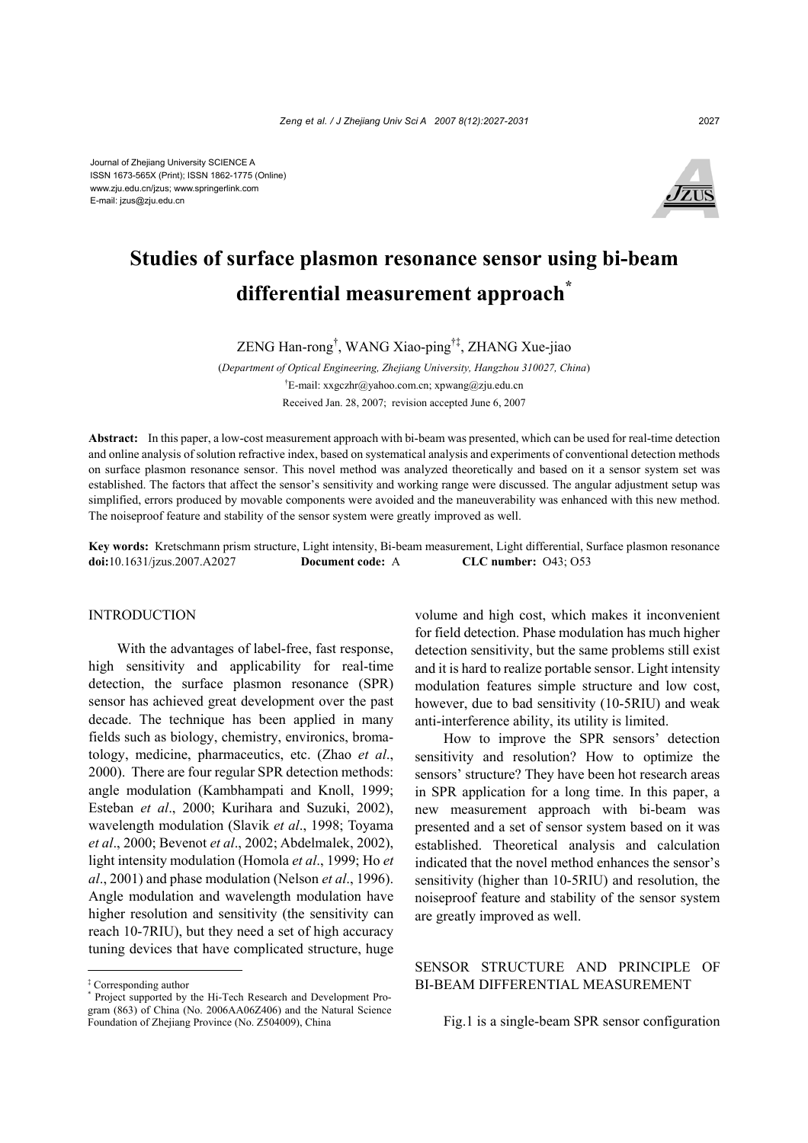

# **Studies of surface plasmon resonance sensor using bi-beam differential measurement approach\***

ZENG Han-rong† , WANG Xiao-ping†‡, ZHANG Xue-jiao

(*Department of Optical Engineering, Zhejiang University, Hangzhou 310027, China*) † E-mail: xxgczhr@yahoo.com.cn; xpwang@zju.edu.cn Received Jan. 28, 2007; revision accepted June 6, 2007

**Abstract:** In this paper, a low-cost measurement approach with bi-beam was presented, which can be used for real-time detection and online analysis of solution refractive index, based on systematical analysis and experiments of conventional detection methods on surface plasmon resonance sensor. This novel method was analyzed theoretically and based on it a sensor system set was established. The factors that affect the sensor's sensitivity and working range were discussed. The angular adjustment setup was simplified, errors produced by movable components were avoided and the maneuverability was enhanced with this new method. The noiseproof feature and stability of the sensor system were greatly improved as well.

**Key words:** Kretschmann prism structure, Light intensity, Bi-beam measurement, Light differential, Surface plasmon resonance **doi:**10.1631/jzus.2007.A2027 **Document code:** A **CLC number:** O43; O53

### INTRODUCTION

With the advantages of label-free, fast response, high sensitivity and applicability for real-time detection, the surface plasmon resonance (SPR) sensor has achieved great development over the past decade. The technique has been applied in many fields such as biology, chemistry, environics, bromatology, medicine, pharmaceutics, etc. (Zhao *et al*., 2000). There are four regular SPR detection methods: angle modulation (Kambhampati and Knoll, 1999; Esteban *et al*., 2000; Kurihara and Suzuki, 2002), wavelength modulation (Slavik *et al*., 1998; Toyama *et al*., 2000; Bevenot *et al*., 2002; Abdelmalek, 2002), light intensity modulation (Homola *et al*., 1999; Ho *et al*., 2001) and phase modulation (Nelson *et al*., 1996). Angle modulation and wavelength modulation have higher resolution and sensitivity (the sensitivity can reach 10-7RIU), but they need a set of high accuracy tuning devices that have complicated structure, huge

volume and high cost, which makes it inconvenient for field detection. Phase modulation has much higher detection sensitivity, but the same problems still exist and it is hard to realize portable sensor. Light intensity modulation features simple structure and low cost, however, due to bad sensitivity (10-5RIU) and weak anti-interference ability, its utility is limited.

How to improve the SPR sensors' detection sensitivity and resolution? How to optimize the sensors' structure? They have been hot research areas in SPR application for a long time. In this paper, a new measurement approach with bi-beam was presented and a set of sensor system based on it was established. Theoretical analysis and calculation indicated that the novel method enhances the sensor's sensitivity (higher than 10-5RIU) and resolution, the noiseproof feature and stability of the sensor system are greatly improved as well.

## SENSOR STRUCTURE AND PRINCIPLE OF BI-BEAM DIFFERENTIAL MEASUREMENT

Fig.1 is a single-beam SPR sensor configuration

<sup>‡</sup> Corresponding author

<sup>\*</sup> Project supported by the Hi-Tech Research and Development Program (863) of China (No. 2006AA06Z406) and the Natural Science Foundation of Zhejiang Province (No. Z504009), China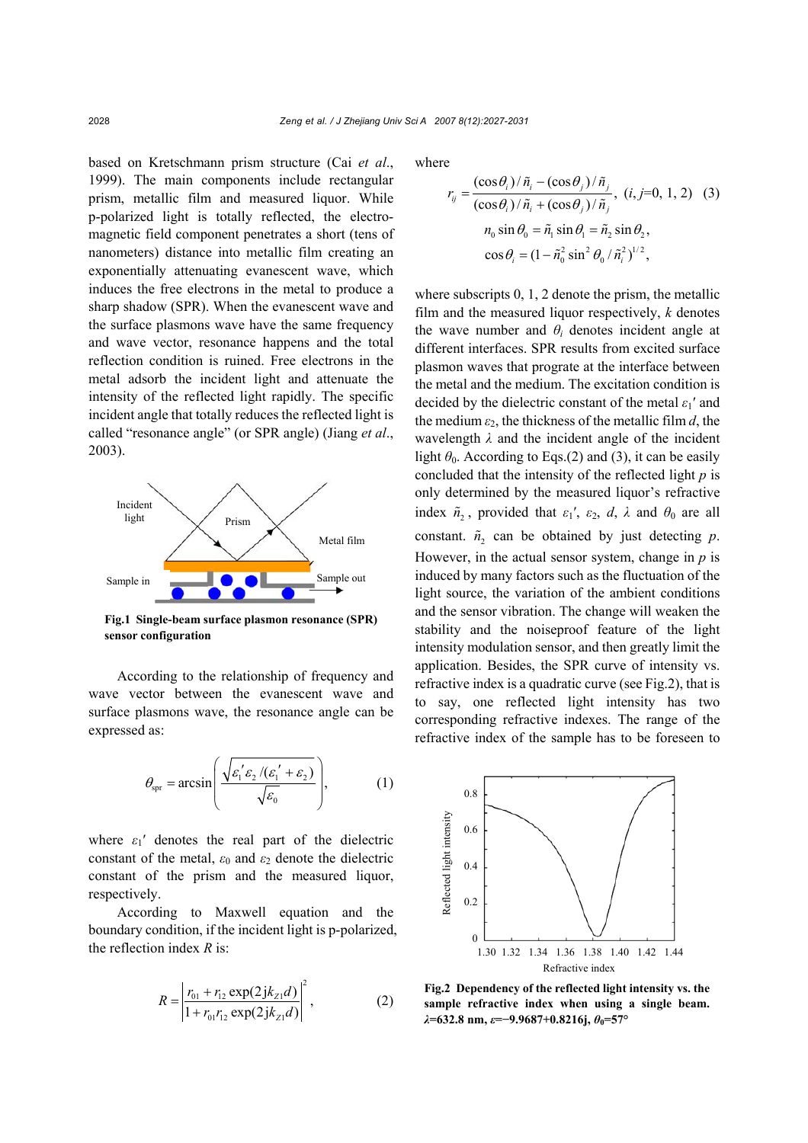based on Kretschmann prism structure (Cai *et al*., 1999). The main components include rectangular prism, metallic film and measured liquor. While p-polarized light is totally reflected, the electromagnetic field component penetrates a short (tens of nanometers) distance into metallic film creating an exponentially attenuating evanescent wave, which induces the free electrons in the metal to produce a sharp shadow (SPR). When the evanescent wave and the surface plasmons wave have the same frequency and wave vector, resonance happens and the total reflection condition is ruined. Free electrons in the metal adsorb the incident light and attenuate the intensity of the reflected light rapidly. The specific incident angle that totally reduces the reflected light is called "resonance angle" (or SPR angle) (Jiang *et al*., 2003).



**Fig.1 Single-beam surface plasmon resonance (SPR) sensor configuration** 

According to the relationship of frequency and wave vector between the evanescent wave and surface plasmons wave, the resonance angle can be expressed as:

$$
\theta_{\rm spr} = \arcsin\left(\frac{\sqrt{\varepsilon_1' \varepsilon_2 / (\varepsilon_1' + \varepsilon_2)}}{\sqrt{\varepsilon_0}}\right),\tag{1}
$$

where  $\varepsilon_1'$  denotes the real part of the dielectric constant of the metal,  $\varepsilon_0$  and  $\varepsilon_2$  denote the dielectric constant of the prism and the measured liquor, respectively.

According to Maxwell equation and the boundary condition, if the incident light is p-polarized, the reflection index *R* is:

$$
R = \left| \frac{r_{01} + r_{12} \exp(2jk_{Z1}d)}{1 + r_{01}r_{12} \exp(2jk_{Z1}d)} \right|^2, \tag{2}
$$

where

$$
r_{ij} = \frac{(\cos \theta_i) / \tilde{n}_i - (\cos \theta_j) / \tilde{n}_j}{(\cos \theta_i) / \tilde{n}_i + (\cos \theta_j) / \tilde{n}_j}, (i, j=0, 1, 2)
$$
 (3)  

$$
n_0 \sin \theta_0 = \tilde{n}_1 \sin \theta_1 = \tilde{n}_2 \sin \theta_2,
$$
  

$$
\cos \theta_i = (1 - \tilde{n}_0^2 \sin^2 \theta_0 / \tilde{n}_i^2)^{1/2},
$$

where subscripts 0, 1, 2 denote the prism, the metallic film and the measured liquor respectively, *k* denotes the wave number and  $\theta_i$  denotes incident angle at different interfaces. SPR results from excited surface plasmon waves that prograte at the interface between the metal and the medium. The excitation condition is decided by the dielectric constant of the metal *ε*1′ and the medium  $\varepsilon_2$ , the thickness of the metallic film *d*, the wavelength *λ* and the incident angle of the incident light  $\theta_0$ . According to Eqs.(2) and (3), it can be easily concluded that the intensity of the reflected light *p* is only determined by the measured liquor's refractive index  $\tilde{n}_2$ , provided that  $\varepsilon_1'$ ,  $\varepsilon_2$ , *d*,  $\lambda$  and  $\theta_0$  are all constant.  $\tilde{n}_2$  can be obtained by just detecting *p*. However, in the actual sensor system, change in *p* is induced by many factors such as the fluctuation of the light source, the variation of the ambient conditions and the sensor vibration. The change will weaken the stability and the noiseproof feature of the light intensity modulation sensor, and then greatly limit the application. Besides, the SPR curve of intensity vs. refractive index is a quadratic curve (see Fig.2), that is to say, one reflected light intensity has two corresponding refractive indexes. The range of the refractive index of the sample has to be foreseen to



**Fig.2 Dependency of the reflected light intensity vs. the sample refractive index when using a single beam.** *λ***=632.8 nm,** *ε***=−9.9687+0.8216j,** *θ***0=57°**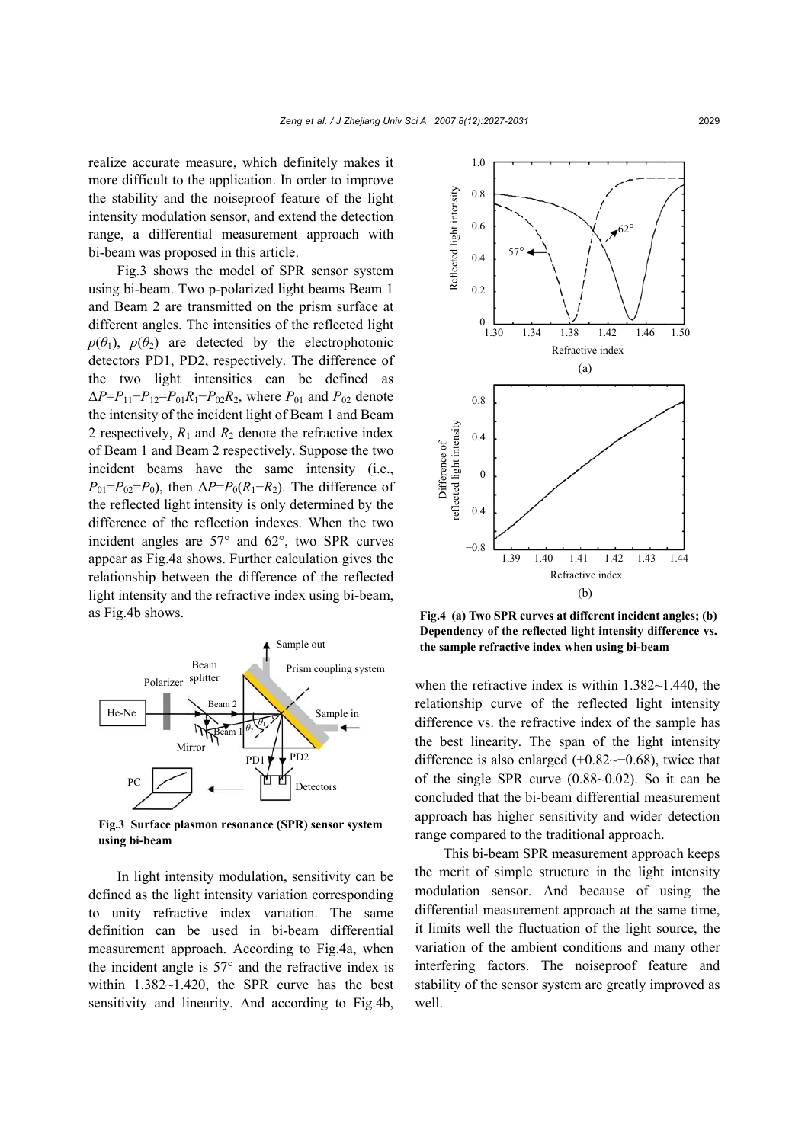realize accurate measure, which definitely makes it more difficult to the application. In order to improve the stability and the noiseproof feature of the light intensity modulation sensor, and extend the detection range, a differential measurement approach with bi-beam was proposed in this article.

Fig.3 shows the model of SPR sensor system using bi-beam. Two p-polarized light beams Beam 1 and Beam 2 are transmitted on the prism surface at different angles. The intensities of the reflected light  $p(\theta_1)$ ,  $p(\theta_2)$  are detected by the electrophotonic detectors PD1, PD2, respectively. The difference of the two light intensities can be defined as  $\Delta P = P_{11} - P_{12} = P_{01}R_1 - P_{02}R_2$ , where  $P_{01}$  and  $P_{02}$  denote the intensity of the incident light of Beam 1 and Beam 2 respectively,  $R_1$  and  $R_2$  denote the refractive index of Beam 1 and Beam 2 respectively. Suppose the two incident beams have the same intensity (i.e.,  $P_{01} = P_{02} = P_0$ , then  $\Delta P = P_0(R_1 - R_2)$ . The difference of the reflected light intensity is only determined by the difference of the reflection indexes. When the two incident angles are 57° and 62°, two SPR curves appear as Fig.4a shows. Further calculation gives the relationship between the difference of the reflected light intensity and the refractive index using bi-beam, as Fig.4b shows.



**Fig.3 Surface plasmon resonance (SPR) sensor system using bi-beam** 

In light intensity modulation, sensitivity can be defined as the light intensity variation corresponding to unity refractive index variation. The same definition can be used in bi-beam differential measurement approach. According to Fig.4a, when the incident angle is  $57^\circ$  and the refractive index is within 1.382~1.420, the SPR curve has the best sensitivity and linearity. And according to Fig.4b,



**Fig.4 (a) Two SPR curves at different incident angles; (b) Dependency of the reflected light intensity difference vs. the sample refractive index when using bi-beam** 

when the refractive index is within 1.382~1.440, the relationship curve of the reflected light intensity difference vs. the refractive index of the sample has the best linearity. The span of the light intensity difference is also enlarged (+0.82~−0.68), twice that of the single SPR curve (0.88~0.02). So it can be concluded that the bi-beam differential measurement approach has higher sensitivity and wider detection range compared to the traditional approach.

This bi-beam SPR measurement approach keeps the merit of simple structure in the light intensity modulation sensor. And because of using the differential measurement approach at the same time, it limits well the fluctuation of the light source, the variation of the ambient conditions and many other interfering factors. The noiseproof feature and stability of the sensor system are greatly improved as well.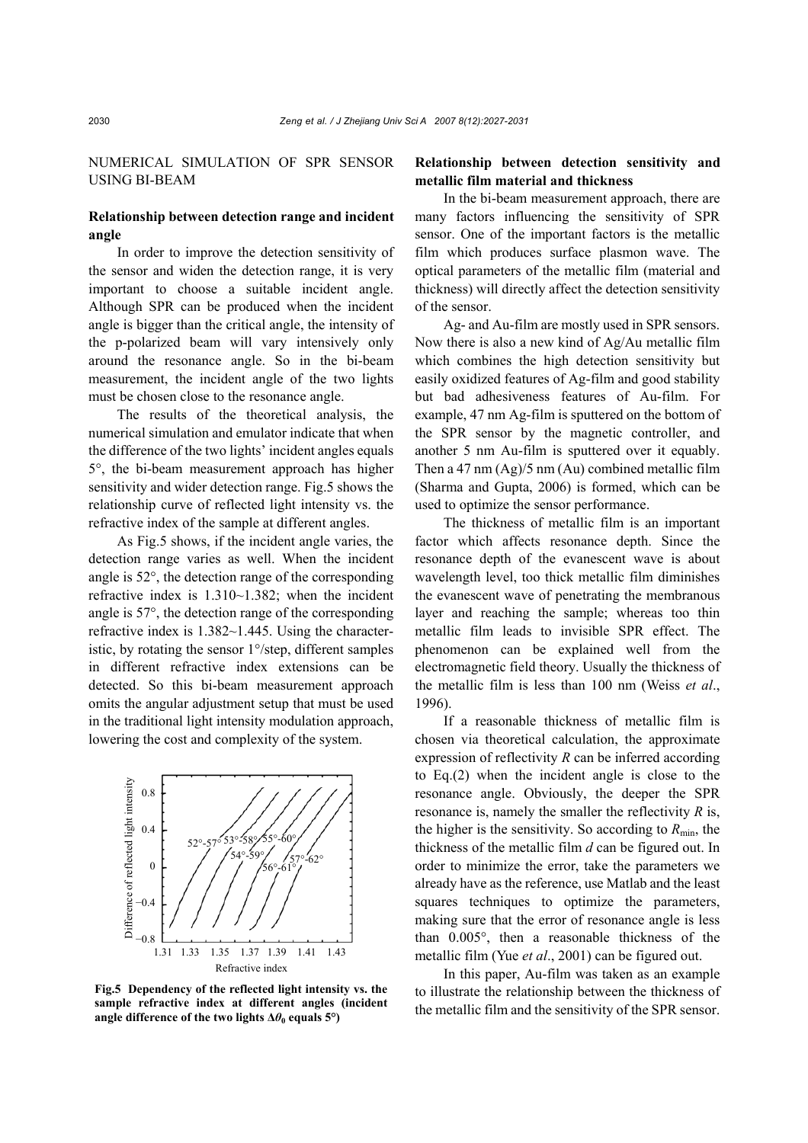NUMERICAL SIMULATION OF SPR SENSOR USING BI-BEAM

## **Relationship between detection range and incident angle**

In order to improve the detection sensitivity of the sensor and widen the detection range, it is very important to choose a suitable incident angle. Although SPR can be produced when the incident angle is bigger than the critical angle, the intensity of the p-polarized beam will vary intensively only around the resonance angle. So in the bi-beam measurement, the incident angle of the two lights must be chosen close to the resonance angle.

The results of the theoretical analysis, the numerical simulation and emulator indicate that when the difference of the two lights' incident angles equals 5°, the bi-beam measurement approach has higher sensitivity and wider detection range. Fig.5 shows the relationship curve of reflected light intensity vs. the refractive index of the sample at different angles.

As Fig.5 shows, if the incident angle varies, the detection range varies as well. When the incident angle is 52°, the detection range of the corresponding refractive index is 1.310~1.382; when the incident angle is 57°, the detection range of the corresponding refractive index is 1.382~1.445. Using the characteristic, by rotating the sensor 1°/step, different samples in different refractive index extensions can be detected. So this bi-beam measurement approach omits the angular adjustment setup that must be used in the traditional light intensity modulation approach, lowering the cost and complexity of the system.



**Fig.5 Dependency of the reflected light intensity vs. the sample refractive index at different angles (incident angle difference of the two lights ∆***θ***0 equals 5°)** 

# **Relationship between detection sensitivity and metallic film material and thickness**

In the bi-beam measurement approach, there are many factors influencing the sensitivity of SPR sensor. One of the important factors is the metallic film which produces surface plasmon wave. The optical parameters of the metallic film (material and thickness) will directly affect the detection sensitivity of the sensor.

Ag- and Au-film are mostly used in SPR sensors. Now there is also a new kind of Ag/Au metallic film which combines the high detection sensitivity but easily oxidized features of Ag-film and good stability but bad adhesiveness features of Au-film. For example, 47 nm Ag-film is sputtered on the bottom of the SPR sensor by the magnetic controller, and another 5 nm Au-film is sputtered over it equably. Then a 47 nm (Ag)/5 nm (Au) combined metallic film (Sharma and Gupta, 2006) is formed, which can be used to optimize the sensor performance.

The thickness of metallic film is an important factor which affects resonance depth. Since the resonance depth of the evanescent wave is about wavelength level, too thick metallic film diminishes the evanescent wave of penetrating the membranous layer and reaching the sample; whereas too thin metallic film leads to invisible SPR effect. The phenomenon can be explained well from the electromagnetic field theory. Usually the thickness of the metallic film is less than 100 nm (Weiss *et al*., 1996).

If a reasonable thickness of metallic film is chosen via theoretical calculation, the approximate expression of reflectivity *R* can be inferred according to Eq.(2) when the incident angle is close to the resonance angle. Obviously, the deeper the SPR resonance is, namely the smaller the reflectivity *R* is, the higher is the sensitivity. So according to  $R_{\text{min}}$ , the thickness of the metallic film *d* can be figured out. In order to minimize the error, take the parameters we already have as the reference, use Matlab and the least squares techniques to optimize the parameters, making sure that the error of resonance angle is less than 0.005°, then a reasonable thickness of the metallic film (Yue *et al*., 2001) can be figured out.

In this paper, Au-film was taken as an example to illustrate the relationship between the thickness of the metallic film and the sensitivity of the SPR sensor.